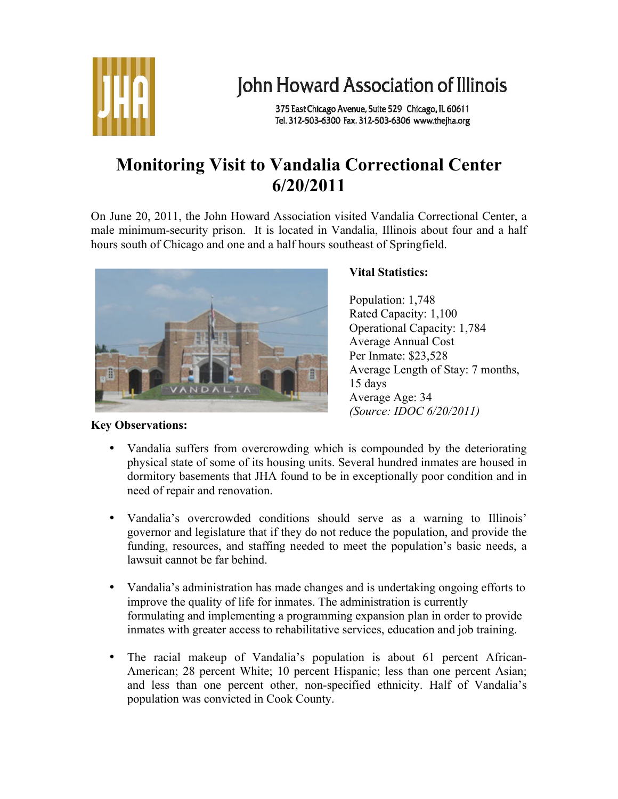

# John Howard Association of Illinois

375 East Chicago Avenue, Suite 529 Chicago, IL 60611 Tel. 312-503-6300 Fax. 312-503-6306 www.thejha.org

## **Monitoring Visit to Vandalia Correctional Center 6/20/2011**

On June 20, 2011, the John Howard Association visited Vandalia Correctional Center, a male minimum-security prison. It is located in Vandalia, Illinois about four and a half hours south of Chicago and one and a half hours southeast of Springfield.



### **Vital Statistics:**

Population: 1,748 Rated Capacity: 1,100 Operational Capacity: 1,784 Average Annual Cost Per Inmate: \$23,528 Average Length of Stay: 7 months, 15 days Average Age: 34 *(Source: IDOC 6/20/2011)*

## **Key Observations:**

- Vandalia suffers from overcrowding which is compounded by the deteriorating physical state of some of its housing units. Several hundred inmates are housed in dormitory basements that JHA found to be in exceptionally poor condition and in need of repair and renovation.
- Vandalia's overcrowded conditions should serve as a warning to Illinois' governor and legislature that if they do not reduce the population, and provide the funding, resources, and staffing needed to meet the population's basic needs, a lawsuit cannot be far behind.
- Vandalia's administration has made changes and is undertaking ongoing efforts to improve the quality of life for inmates. The administration is currently formulating and implementing a programming expansion plan in order to provide inmates with greater access to rehabilitative services, education and job training.
- The racial makeup of Vandalia's population is about 61 percent African-American; 28 percent White; 10 percent Hispanic; less than one percent Asian; and less than one percent other, non-specified ethnicity. Half of Vandalia's population was convicted in Cook County.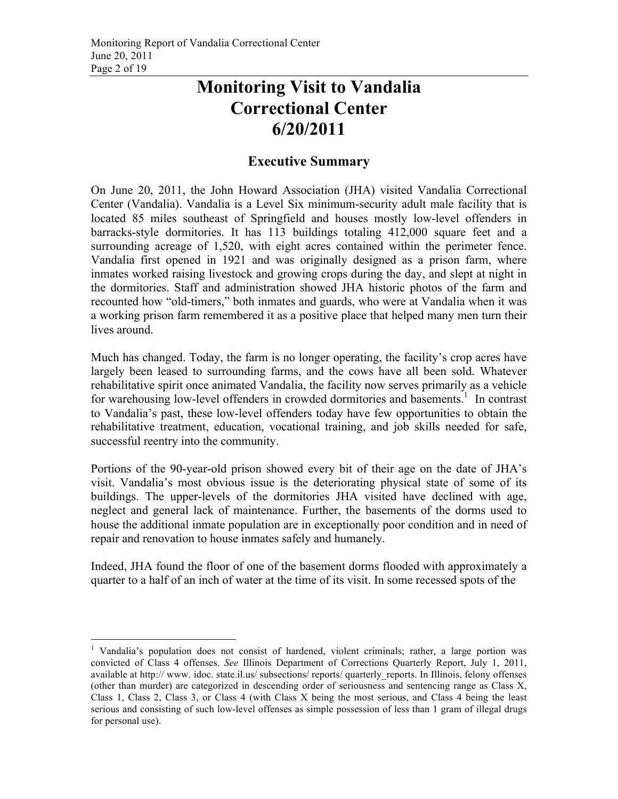## **Monitoring Visit to Vandalia Correctional Center 6/20/2011**

### **Executive Summary**

On June 20, 2011, the John Howard Association (JHA) visited Vandalia Correctional Center (Vandalia). Vandalia is a Level Six minimum-security adult male facility that is located 85 miles southeast of Springfield and houses mostly low-level offenders in barracks-style dormitories. It has 113 buildings totaling 412,000 square feet and a surrounding acreage of 1,520, with eight acres contained within the perimeter fence. Vandalia first opened in 1921 and was originally designed as a prison farm, where inmates worked raising livestock and growing crops during the day, and slept at night in the dormitories. Staff and administration showed JHA historic photos of the farm and recounted how "old-timers," both inmates and guards, who were at Vandalia when it was a working prison farm remembered it as a positive place that helped many men turn their lives around.

Much has changed. Today, the farm is no longer operating, the facility's crop acres have largely been leased to surrounding farms, and the cows have all been sold. Whatever rehabilitative spirit once animated Vandalia, the facility now serves primarily as a vehicle for warehousing low-level offenders in crowded dormitories and basements.<sup>1</sup> In contrast to Vandalia's past, these low-level offenders today have few opportunities to obtain the rehabilitative treatment, education, vocational training, and job skills needed for safe, successful reentry into the community.

Portions of the 90-year-old prison showed every bit of their age on the date of JHA's visit. Vandalia's most obvious issue is the deteriorating physical state of some of its buildings. The upper-levels of the dormitories JHA visited have declined with age, neglect and general lack of maintenance. Further, the basements of the dorms used to house the additional inmate population are in exceptionally poor condition and in need of repair and renovation to house inmates safely and humanely.

Indeed, JHA found the floor of one of the basement dorms flooded with approximately a quarter to a half of an inch of water at the time of its visit. In some recessed spots of the

<sup>&</sup>lt;sup>1</sup> Vandalia's population does not consist of hardened, violent criminals; rather, a large portion was convicted of Class 4 offenses. *See* Illinois Department of Corrections Quarterly Report, July 1, 2011, available at http:// www. idoc. state.il.us/ subsections/ reports/ quarterly\_reports. In Illinois, felony offenses (other than murder) are categorized in descending order of seriousness and sentencing range as Class X, Class 1, Class 2, Class 3, or Class 4 (with Class X being the most serious, and Class 4 being the least serious and consisting of such low-level offenses as simple possession of less than 1 gram of illegal drugs for personal use).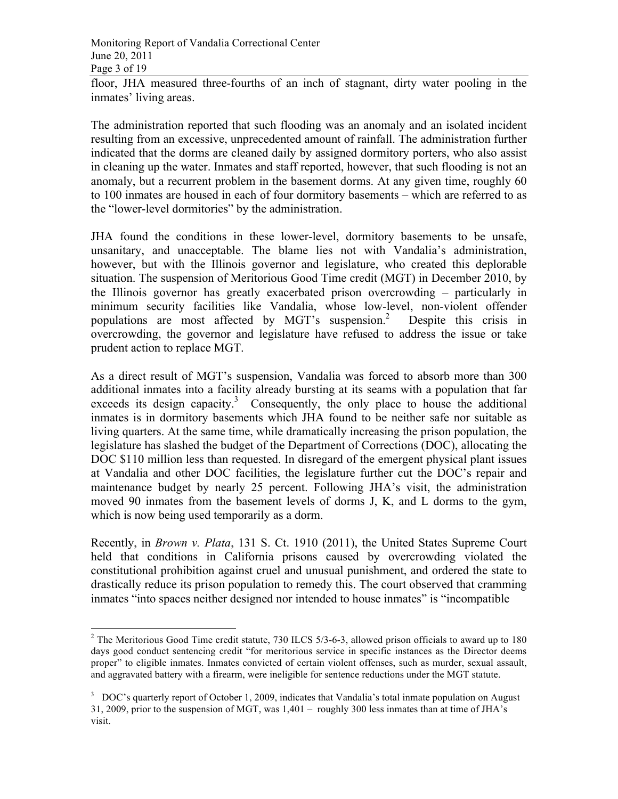floor, JHA measured three-fourths of an inch of stagnant, dirty water pooling in the inmates' living areas.

The administration reported that such flooding was an anomaly and an isolated incident resulting from an excessive, unprecedented amount of rainfall. The administration further indicated that the dorms are cleaned daily by assigned dormitory porters, who also assist in cleaning up the water. Inmates and staff reported, however, that such flooding is not an anomaly, but a recurrent problem in the basement dorms. At any given time, roughly 60 to 100 inmates are housed in each of four dormitory basements – which are referred to as the "lower-level dormitories" by the administration.

JHA found the conditions in these lower-level, dormitory basements to be unsafe, unsanitary, and unacceptable. The blame lies not with Vandalia's administration, however, but with the Illinois governor and legislature, who created this deplorable situation. The suspension of Meritorious Good Time credit (MGT) in December 2010, by the Illinois governor has greatly exacerbated prison overcrowding – particularly in minimum security facilities like Vandalia, whose low-level, non-violent offender populations are most affected by MGT's suspension. 2 Despite this crisis in overcrowding, the governor and legislature have refused to address the issue or take prudent action to replace MGT.

As a direct result of MGT's suspension, Vandalia was forced to absorb more than 300 additional inmates into a facility already bursting at its seams with a population that far exceeds its design capacity. $3$  Consequently, the only place to house the additional inmates is in dormitory basements which JHA found to be neither safe nor suitable as living quarters. At the same time, while dramatically increasing the prison population, the legislature has slashed the budget of the Department of Corrections (DOC), allocating the DOC \$110 million less than requested. In disregard of the emergent physical plant issues at Vandalia and other DOC facilities, the legislature further cut the DOC's repair and maintenance budget by nearly 25 percent. Following JHA's visit, the administration moved 90 inmates from the basement levels of dorms J, K, and L dorms to the gym, which is now being used temporarily as a dorm.

Recently, in *Brown v. Plata*, 131 S. Ct. 1910 (2011), the United States Supreme Court held that conditions in California prisons caused by overcrowding violated the constitutional prohibition against cruel and unusual punishment, and ordered the state to drastically reduce its prison population to remedy this. The court observed that cramming inmates "into spaces neither designed nor intended to house inmates" is "incompatible

<sup>&</sup>lt;sup>2</sup> The Meritorious Good Time credit statute, 730 ILCS 5/3-6-3, allowed prison officials to award up to 180 days good conduct sentencing credit "for meritorious service in specific instances as the Director deems proper" to eligible inmates. Inmates convicted of certain violent offenses, such as murder, sexual assault, and aggravated battery with a firearm, were ineligible for sentence reductions under the MGT statute.

 $3$  DOC's quarterly report of October 1, 2009, indicates that Vandalia's total inmate population on August 31, 2009, prior to the suspension of MGT, was 1,401 – roughly 300 less inmates than at time of JHA's visit.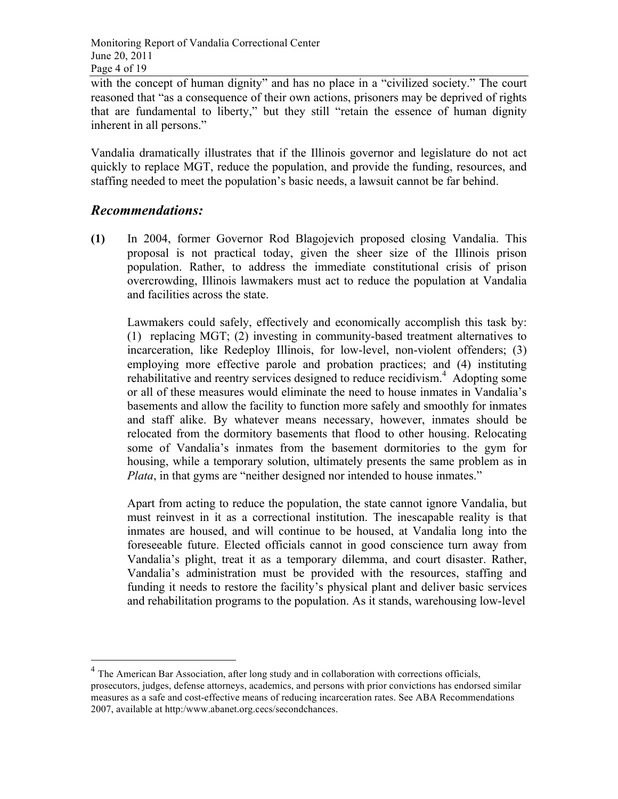with the concept of human dignity" and has no place in a "civilized society." The court reasoned that "as a consequence of their own actions, prisoners may be deprived of rights that are fundamental to liberty," but they still "retain the essence of human dignity inherent in all persons."

Vandalia dramatically illustrates that if the Illinois governor and legislature do not act quickly to replace MGT, reduce the population, and provide the funding, resources, and staffing needed to meet the population's basic needs, a lawsuit cannot be far behind.

#### *Recommendations:*

**(1)** In 2004, former Governor Rod Blagojevich proposed closing Vandalia. This proposal is not practical today, given the sheer size of the Illinois prison population. Rather, to address the immediate constitutional crisis of prison overcrowding, Illinois lawmakers must act to reduce the population at Vandalia and facilities across the state.

Lawmakers could safely, effectively and economically accomplish this task by: (1) replacing MGT; (2) investing in community-based treatment alternatives to incarceration, like Redeploy Illinois, for low-level, non-violent offenders; (3) employing more effective parole and probation practices; and (4) instituting rehabilitative and reentry services designed to reduce recidivism.<sup>4</sup> Adopting some or all of these measures would eliminate the need to house inmates in Vandalia's basements and allow the facility to function more safely and smoothly for inmates and staff alike. By whatever means necessary, however, inmates should be relocated from the dormitory basements that flood to other housing. Relocating some of Vandalia's inmates from the basement dormitories to the gym for housing, while a temporary solution, ultimately presents the same problem as in *Plata*, in that gyms are "neither designed nor intended to house inmates."

Apart from acting to reduce the population, the state cannot ignore Vandalia, but must reinvest in it as a correctional institution. The inescapable reality is that inmates are housed, and will continue to be housed, at Vandalia long into the foreseeable future. Elected officials cannot in good conscience turn away from Vandalia's plight, treat it as a temporary dilemma, and court disaster. Rather, Vandalia's administration must be provided with the resources, staffing and funding it needs to restore the facility's physical plant and deliver basic services and rehabilitation programs to the population. As it stands, warehousing low-level

<sup>&</sup>lt;sup>4</sup> The American Bar Association, after long study and in collaboration with corrections officials, prosecutors, judges, defense attorneys, academics, and persons with prior convictions has endorsed similar measures as a safe and cost-effective means of reducing incarceration rates. See ABA Recommendations 2007, available at http:/www.abanet.org.cecs/secondchances.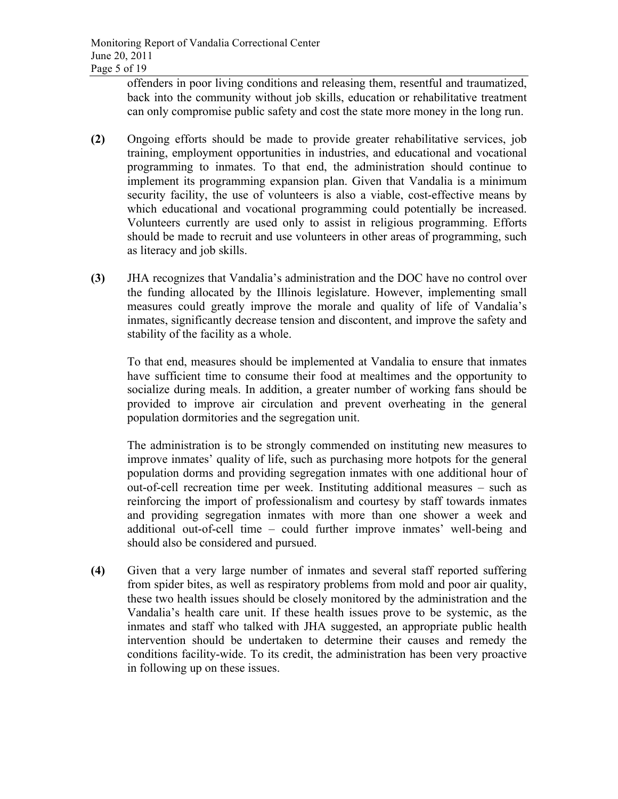offenders in poor living conditions and releasing them, resentful and traumatized, back into the community without job skills, education or rehabilitative treatment can only compromise public safety and cost the state more money in the long run.

- **(2)** Ongoing efforts should be made to provide greater rehabilitative services, job training, employment opportunities in industries, and educational and vocational programming to inmates. To that end, the administration should continue to implement its programming expansion plan. Given that Vandalia is a minimum security facility, the use of volunteers is also a viable, cost-effective means by which educational and vocational programming could potentially be increased. Volunteers currently are used only to assist in religious programming. Efforts should be made to recruit and use volunteers in other areas of programming, such as literacy and job skills.
- **(3)** JHA recognizes that Vandalia's administration and the DOC have no control over the funding allocated by the Illinois legislature. However, implementing small measures could greatly improve the morale and quality of life of Vandalia's inmates, significantly decrease tension and discontent, and improve the safety and stability of the facility as a whole.

To that end, measures should be implemented at Vandalia to ensure that inmates have sufficient time to consume their food at mealtimes and the opportunity to socialize during meals. In addition, a greater number of working fans should be provided to improve air circulation and prevent overheating in the general population dormitories and the segregation unit.

The administration is to be strongly commended on instituting new measures to improve inmates' quality of life, such as purchasing more hotpots for the general population dorms and providing segregation inmates with one additional hour of out-of-cell recreation time per week. Instituting additional measures – such as reinforcing the import of professionalism and courtesy by staff towards inmates and providing segregation inmates with more than one shower a week and additional out-of-cell time – could further improve inmates' well-being and should also be considered and pursued.

**(4)** Given that a very large number of inmates and several staff reported suffering from spider bites, as well as respiratory problems from mold and poor air quality, these two health issues should be closely monitored by the administration and the Vandalia's health care unit. If these health issues prove to be systemic, as the inmates and staff who talked with JHA suggested, an appropriate public health intervention should be undertaken to determine their causes and remedy the conditions facility-wide. To its credit, the administration has been very proactive in following up on these issues.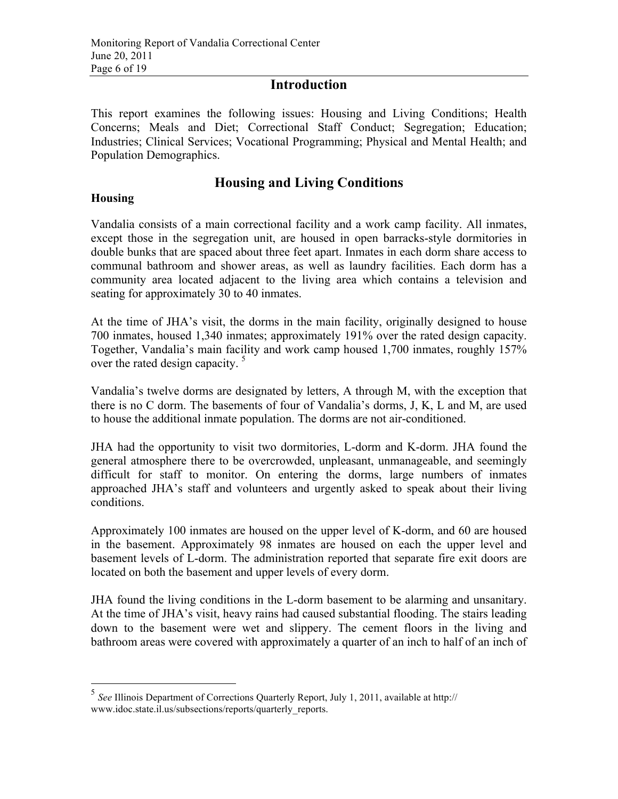## **Introduction**

This report examines the following issues: Housing and Living Conditions; Health Concerns; Meals and Diet; Correctional Staff Conduct; Segregation; Education; Industries; Clinical Services; Vocational Programming; Physical and Mental Health; and Population Demographics.

## **Housing and Living Conditions**

#### **Housing**

Vandalia consists of a main correctional facility and a work camp facility. All inmates, except those in the segregation unit, are housed in open barracks-style dormitories in double bunks that are spaced about three feet apart. Inmates in each dorm share access to communal bathroom and shower areas, as well as laundry facilities. Each dorm has a community area located adjacent to the living area which contains a television and seating for approximately 30 to 40 inmates.

At the time of JHA's visit, the dorms in the main facility, originally designed to house 700 inmates, housed 1,340 inmates; approximately 191% over the rated design capacity. Together, Vandalia's main facility and work camp housed 1,700 inmates, roughly 157% over the rated design capacity.<sup>5</sup>

Vandalia's twelve dorms are designated by letters, A through M, with the exception that there is no C dorm. The basements of four of Vandalia's dorms, J, K, L and M, are used to house the additional inmate population. The dorms are not air-conditioned.

JHA had the opportunity to visit two dormitories, L-dorm and K-dorm. JHA found the general atmosphere there to be overcrowded, unpleasant, unmanageable, and seemingly difficult for staff to monitor. On entering the dorms, large numbers of inmates approached JHA's staff and volunteers and urgently asked to speak about their living conditions.

Approximately 100 inmates are housed on the upper level of K-dorm, and 60 are housed in the basement. Approximately 98 inmates are housed on each the upper level and basement levels of L-dorm. The administration reported that separate fire exit doors are located on both the basement and upper levels of every dorm.

JHA found the living conditions in the L-dorm basement to be alarming and unsanitary. At the time of JHA's visit, heavy rains had caused substantial flooding. The stairs leading down to the basement were wet and slippery. The cement floors in the living and bathroom areas were covered with approximately a quarter of an inch to half of an inch of

 <sup>5</sup> *See* Illinois Department of Corrections Quarterly Report, July 1, 2011, available at http:// www.idoc.state.il.us/subsections/reports/quarterly\_reports.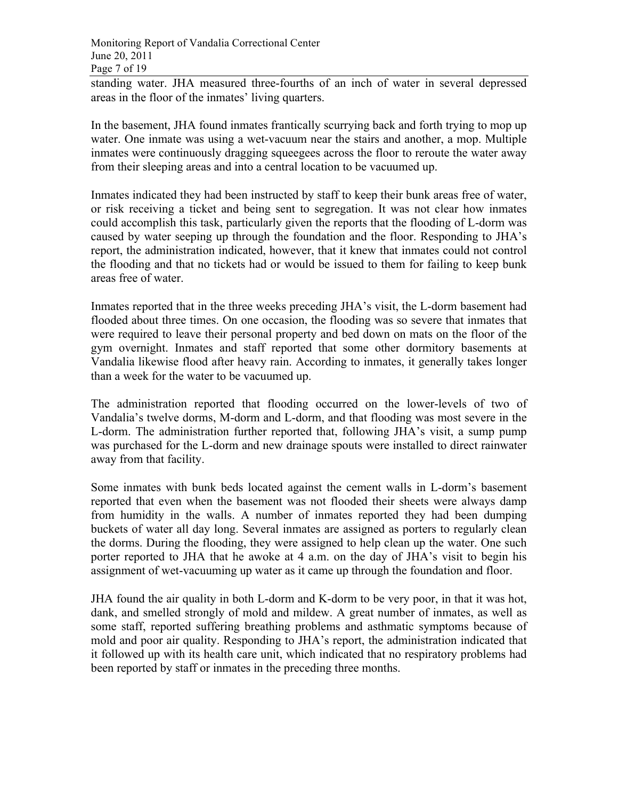standing water. JHA measured three-fourths of an inch of water in several depressed areas in the floor of the inmates' living quarters.

In the basement, JHA found inmates frantically scurrying back and forth trying to mop up water. One inmate was using a wet-vacuum near the stairs and another, a mop. Multiple inmates were continuously dragging squeegees across the floor to reroute the water away from their sleeping areas and into a central location to be vacuumed up.

Inmates indicated they had been instructed by staff to keep their bunk areas free of water, or risk receiving a ticket and being sent to segregation. It was not clear how inmates could accomplish this task, particularly given the reports that the flooding of L-dorm was caused by water seeping up through the foundation and the floor. Responding to JHA's report, the administration indicated, however, that it knew that inmates could not control the flooding and that no tickets had or would be issued to them for failing to keep bunk areas free of water.

Inmates reported that in the three weeks preceding JHA's visit, the L-dorm basement had flooded about three times. On one occasion, the flooding was so severe that inmates that were required to leave their personal property and bed down on mats on the floor of the gym overnight. Inmates and staff reported that some other dormitory basements at Vandalia likewise flood after heavy rain. According to inmates, it generally takes longer than a week for the water to be vacuumed up.

The administration reported that flooding occurred on the lower-levels of two of Vandalia's twelve dorms, M-dorm and L-dorm, and that flooding was most severe in the L-dorm. The administration further reported that, following JHA's visit, a sump pump was purchased for the L-dorm and new drainage spouts were installed to direct rainwater away from that facility.

Some inmates with bunk beds located against the cement walls in L-dorm's basement reported that even when the basement was not flooded their sheets were always damp from humidity in the walls. A number of inmates reported they had been dumping buckets of water all day long. Several inmates are assigned as porters to regularly clean the dorms. During the flooding, they were assigned to help clean up the water. One such porter reported to JHA that he awoke at 4 a.m. on the day of JHA's visit to begin his assignment of wet-vacuuming up water as it came up through the foundation and floor.

JHA found the air quality in both L-dorm and K-dorm to be very poor, in that it was hot, dank, and smelled strongly of mold and mildew. A great number of inmates, as well as some staff, reported suffering breathing problems and asthmatic symptoms because of mold and poor air quality. Responding to JHA's report, the administration indicated that it followed up with its health care unit, which indicated that no respiratory problems had been reported by staff or inmates in the preceding three months.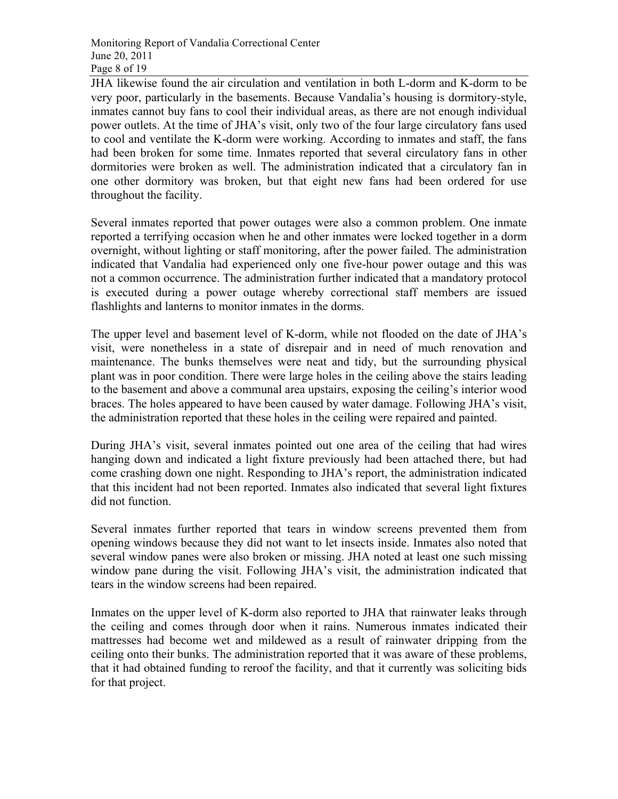JHA likewise found the air circulation and ventilation in both L-dorm and K-dorm to be very poor, particularly in the basements. Because Vandalia's housing is dormitory-style, inmates cannot buy fans to cool their individual areas, as there are not enough individual power outlets. At the time of JHA's visit, only two of the four large circulatory fans used to cool and ventilate the K-dorm were working. According to inmates and staff, the fans had been broken for some time. Inmates reported that several circulatory fans in other dormitories were broken as well. The administration indicated that a circulatory fan in one other dormitory was broken, but that eight new fans had been ordered for use throughout the facility.

Several inmates reported that power outages were also a common problem. One inmate reported a terrifying occasion when he and other inmates were locked together in a dorm overnight, without lighting or staff monitoring, after the power failed. The administration indicated that Vandalia had experienced only one five-hour power outage and this was not a common occurrence. The administration further indicated that a mandatory protocol is executed during a power outage whereby correctional staff members are issued flashlights and lanterns to monitor inmates in the dorms.

The upper level and basement level of K-dorm, while not flooded on the date of JHA's visit, were nonetheless in a state of disrepair and in need of much renovation and maintenance. The bunks themselves were neat and tidy, but the surrounding physical plant was in poor condition. There were large holes in the ceiling above the stairs leading to the basement and above a communal area upstairs, exposing the ceiling's interior wood braces. The holes appeared to have been caused by water damage. Following JHA's visit, the administration reported that these holes in the ceiling were repaired and painted.

During JHA's visit, several inmates pointed out one area of the ceiling that had wires hanging down and indicated a light fixture previously had been attached there, but had come crashing down one night. Responding to JHA's report, the administration indicated that this incident had not been reported. Inmates also indicated that several light fixtures did not function.

Several inmates further reported that tears in window screens prevented them from opening windows because they did not want to let insects inside. Inmates also noted that several window panes were also broken or missing. JHA noted at least one such missing window pane during the visit. Following JHA's visit, the administration indicated that tears in the window screens had been repaired.

Inmates on the upper level of K-dorm also reported to JHA that rainwater leaks through the ceiling and comes through door when it rains. Numerous inmates indicated their mattresses had become wet and mildewed as a result of rainwater dripping from the ceiling onto their bunks. The administration reported that it was aware of these problems, that it had obtained funding to reroof the facility, and that it currently was soliciting bids for that project.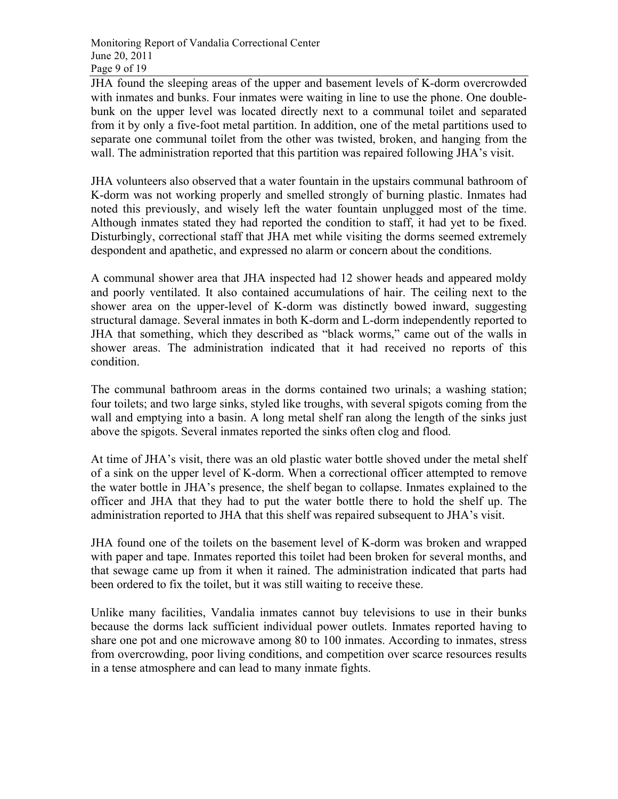JHA found the sleeping areas of the upper and basement levels of K-dorm overcrowded with inmates and bunks. Four inmates were waiting in line to use the phone. One doublebunk on the upper level was located directly next to a communal toilet and separated from it by only a five-foot metal partition. In addition, one of the metal partitions used to separate one communal toilet from the other was twisted, broken, and hanging from the wall. The administration reported that this partition was repaired following JHA's visit.

JHA volunteers also observed that a water fountain in the upstairs communal bathroom of K-dorm was not working properly and smelled strongly of burning plastic. Inmates had noted this previously, and wisely left the water fountain unplugged most of the time. Although inmates stated they had reported the condition to staff, it had yet to be fixed. Disturbingly, correctional staff that JHA met while visiting the dorms seemed extremely despondent and apathetic, and expressed no alarm or concern about the conditions.

A communal shower area that JHA inspected had 12 shower heads and appeared moldy and poorly ventilated. It also contained accumulations of hair. The ceiling next to the shower area on the upper-level of K-dorm was distinctly bowed inward, suggesting structural damage. Several inmates in both K-dorm and L-dorm independently reported to JHA that something, which they described as "black worms," came out of the walls in shower areas. The administration indicated that it had received no reports of this condition.

The communal bathroom areas in the dorms contained two urinals; a washing station; four toilets; and two large sinks, styled like troughs, with several spigots coming from the wall and emptying into a basin. A long metal shelf ran along the length of the sinks just above the spigots. Several inmates reported the sinks often clog and flood.

At time of JHA's visit, there was an old plastic water bottle shoved under the metal shelf of a sink on the upper level of K-dorm. When a correctional officer attempted to remove the water bottle in JHA's presence, the shelf began to collapse. Inmates explained to the officer and JHA that they had to put the water bottle there to hold the shelf up. The administration reported to JHA that this shelf was repaired subsequent to JHA's visit.

JHA found one of the toilets on the basement level of K-dorm was broken and wrapped with paper and tape. Inmates reported this toilet had been broken for several months, and that sewage came up from it when it rained. The administration indicated that parts had been ordered to fix the toilet, but it was still waiting to receive these.

Unlike many facilities, Vandalia inmates cannot buy televisions to use in their bunks because the dorms lack sufficient individual power outlets. Inmates reported having to share one pot and one microwave among 80 to 100 inmates. According to inmates, stress from overcrowding, poor living conditions, and competition over scarce resources results in a tense atmosphere and can lead to many inmate fights.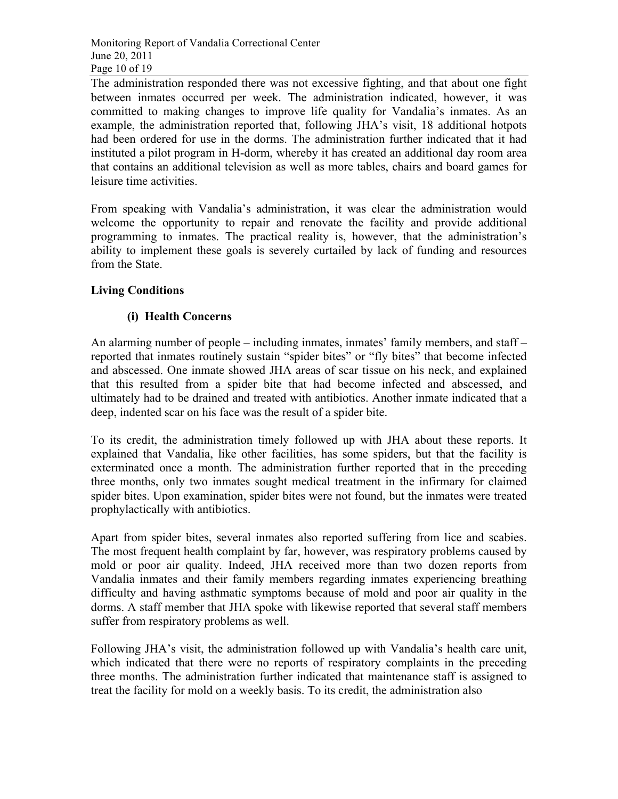The administration responded there was not excessive fighting, and that about one fight between inmates occurred per week. The administration indicated, however, it was committed to making changes to improve life quality for Vandalia's inmates. As an example, the administration reported that, following JHA's visit, 18 additional hotpots had been ordered for use in the dorms. The administration further indicated that it had instituted a pilot program in H-dorm, whereby it has created an additional day room area that contains an additional television as well as more tables, chairs and board games for leisure time activities.

From speaking with Vandalia's administration, it was clear the administration would welcome the opportunity to repair and renovate the facility and provide additional programming to inmates. The practical reality is, however, that the administration's ability to implement these goals is severely curtailed by lack of funding and resources from the State.

#### **Living Conditions**

#### **(i) Health Concerns**

An alarming number of people – including inmates, inmates' family members, and staff – reported that inmates routinely sustain "spider bites" or "fly bites" that become infected and abscessed. One inmate showed JHA areas of scar tissue on his neck, and explained that this resulted from a spider bite that had become infected and abscessed, and ultimately had to be drained and treated with antibiotics. Another inmate indicated that a deep, indented scar on his face was the result of a spider bite.

To its credit, the administration timely followed up with JHA about these reports. It explained that Vandalia, like other facilities, has some spiders, but that the facility is exterminated once a month. The administration further reported that in the preceding three months, only two inmates sought medical treatment in the infirmary for claimed spider bites. Upon examination, spider bites were not found, but the inmates were treated prophylactically with antibiotics.

Apart from spider bites, several inmates also reported suffering from lice and scabies. The most frequent health complaint by far, however, was respiratory problems caused by mold or poor air quality. Indeed, JHA received more than two dozen reports from Vandalia inmates and their family members regarding inmates experiencing breathing difficulty and having asthmatic symptoms because of mold and poor air quality in the dorms. A staff member that JHA spoke with likewise reported that several staff members suffer from respiratory problems as well.

Following JHA's visit, the administration followed up with Vandalia's health care unit, which indicated that there were no reports of respiratory complaints in the preceding three months. The administration further indicated that maintenance staff is assigned to treat the facility for mold on a weekly basis. To its credit, the administration also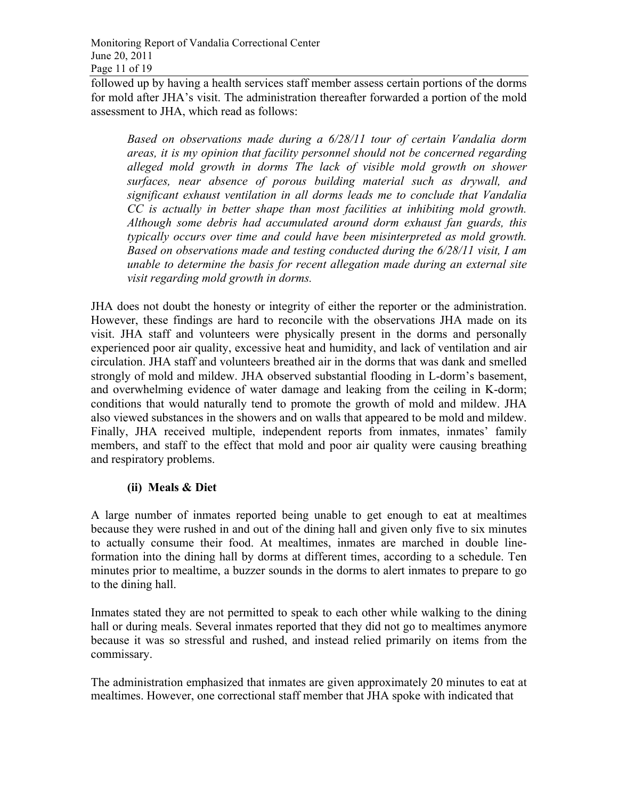followed up by having a health services staff member assess certain portions of the dorms for mold after JHA's visit. The administration thereafter forwarded a portion of the mold assessment to JHA, which read as follows:

*Based on observations made during a 6/28/11 tour of certain Vandalia dorm areas, it is my opinion that facility personnel should not be concerned regarding alleged mold growth in dorms The lack of visible mold growth on shower surfaces, near absence of porous building material such as drywall, and significant exhaust ventilation in all dorms leads me to conclude that Vandalia CC is actually in better shape than most facilities at inhibiting mold growth. Although some debris had accumulated around dorm exhaust fan guards, this typically occurs over time and could have been misinterpreted as mold growth. Based on observations made and testing conducted during the 6/28/11 visit, I am unable to determine the basis for recent allegation made during an external site visit regarding mold growth in dorms.* 

JHA does not doubt the honesty or integrity of either the reporter or the administration. However, these findings are hard to reconcile with the observations JHA made on its visit. JHA staff and volunteers were physically present in the dorms and personally experienced poor air quality, excessive heat and humidity, and lack of ventilation and air circulation. JHA staff and volunteers breathed air in the dorms that was dank and smelled strongly of mold and mildew. JHA observed substantial flooding in L-dorm's basement, and overwhelming evidence of water damage and leaking from the ceiling in K-dorm; conditions that would naturally tend to promote the growth of mold and mildew. JHA also viewed substances in the showers and on walls that appeared to be mold and mildew. Finally, JHA received multiple, independent reports from inmates, inmates' family members, and staff to the effect that mold and poor air quality were causing breathing and respiratory problems.

#### **(ii) Meals & Diet**

A large number of inmates reported being unable to get enough to eat at mealtimes because they were rushed in and out of the dining hall and given only five to six minutes to actually consume their food. At mealtimes, inmates are marched in double lineformation into the dining hall by dorms at different times, according to a schedule. Ten minutes prior to mealtime, a buzzer sounds in the dorms to alert inmates to prepare to go to the dining hall.

Inmates stated they are not permitted to speak to each other while walking to the dining hall or during meals. Several inmates reported that they did not go to mealtimes anymore because it was so stressful and rushed, and instead relied primarily on items from the commissary.

The administration emphasized that inmates are given approximately 20 minutes to eat at mealtimes. However, one correctional staff member that JHA spoke with indicated that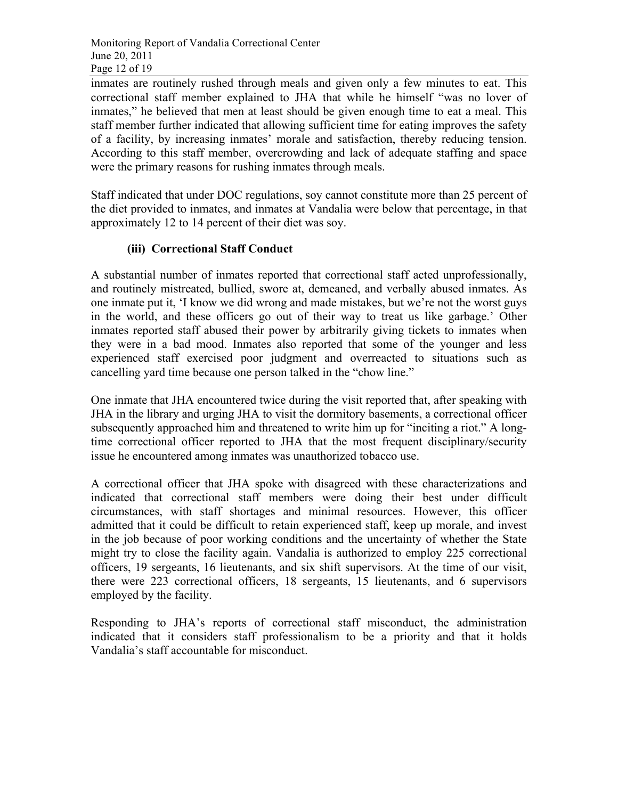inmates are routinely rushed through meals and given only a few minutes to eat. This correctional staff member explained to JHA that while he himself "was no lover of inmates," he believed that men at least should be given enough time to eat a meal. This staff member further indicated that allowing sufficient time for eating improves the safety of a facility, by increasing inmates' morale and satisfaction, thereby reducing tension. According to this staff member, overcrowding and lack of adequate staffing and space were the primary reasons for rushing inmates through meals.

Staff indicated that under DOC regulations, soy cannot constitute more than 25 percent of the diet provided to inmates, and inmates at Vandalia were below that percentage, in that approximately 12 to 14 percent of their diet was soy.

#### **(iii) Correctional Staff Conduct**

A substantial number of inmates reported that correctional staff acted unprofessionally, and routinely mistreated, bullied, swore at, demeaned, and verbally abused inmates. As one inmate put it, 'I know we did wrong and made mistakes, but we're not the worst guys in the world, and these officers go out of their way to treat us like garbage.' Other inmates reported staff abused their power by arbitrarily giving tickets to inmates when they were in a bad mood. Inmates also reported that some of the younger and less experienced staff exercised poor judgment and overreacted to situations such as cancelling yard time because one person talked in the "chow line."

One inmate that JHA encountered twice during the visit reported that, after speaking with JHA in the library and urging JHA to visit the dormitory basements, a correctional officer subsequently approached him and threatened to write him up for "inciting a riot." A longtime correctional officer reported to JHA that the most frequent disciplinary/security issue he encountered among inmates was unauthorized tobacco use.

A correctional officer that JHA spoke with disagreed with these characterizations and indicated that correctional staff members were doing their best under difficult circumstances, with staff shortages and minimal resources. However, this officer admitted that it could be difficult to retain experienced staff, keep up morale, and invest in the job because of poor working conditions and the uncertainty of whether the State might try to close the facility again. Vandalia is authorized to employ 225 correctional officers, 19 sergeants, 16 lieutenants, and six shift supervisors. At the time of our visit, there were 223 correctional officers, 18 sergeants, 15 lieutenants, and 6 supervisors employed by the facility.

Responding to JHA's reports of correctional staff misconduct, the administration indicated that it considers staff professionalism to be a priority and that it holds Vandalia's staff accountable for misconduct.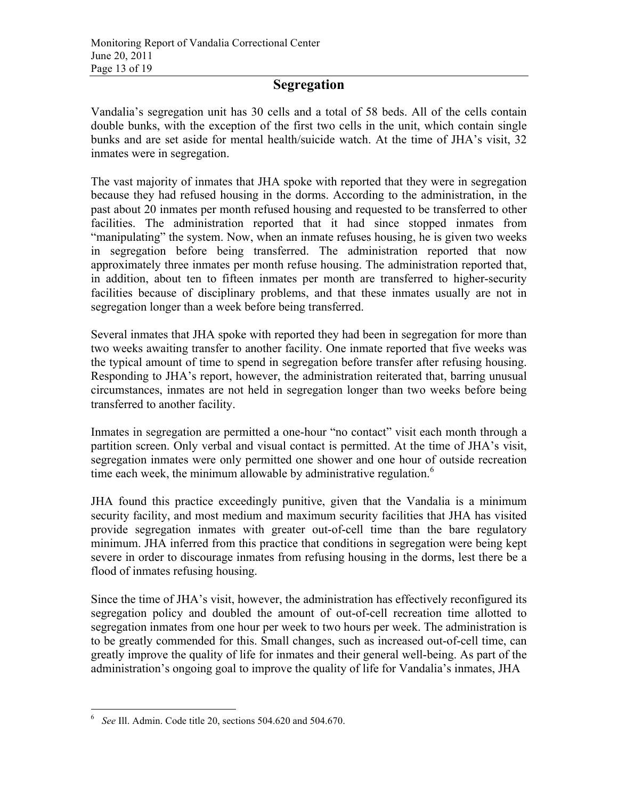## **Segregation**

Vandalia's segregation unit has 30 cells and a total of 58 beds. All of the cells contain double bunks, with the exception of the first two cells in the unit, which contain single bunks and are set aside for mental health/suicide watch. At the time of JHA's visit, 32 inmates were in segregation.

The vast majority of inmates that JHA spoke with reported that they were in segregation because they had refused housing in the dorms. According to the administration, in the past about 20 inmates per month refused housing and requested to be transferred to other facilities. The administration reported that it had since stopped inmates from "manipulating" the system. Now, when an inmate refuses housing, he is given two weeks in segregation before being transferred. The administration reported that now approximately three inmates per month refuse housing. The administration reported that, in addition, about ten to fifteen inmates per month are transferred to higher-security facilities because of disciplinary problems, and that these inmates usually are not in segregation longer than a week before being transferred.

Several inmates that JHA spoke with reported they had been in segregation for more than two weeks awaiting transfer to another facility. One inmate reported that five weeks was the typical amount of time to spend in segregation before transfer after refusing housing. Responding to JHA's report, however, the administration reiterated that, barring unusual circumstances, inmates are not held in segregation longer than two weeks before being transferred to another facility.

Inmates in segregation are permitted a one-hour "no contact" visit each month through a partition screen. Only verbal and visual contact is permitted. At the time of JHA's visit, segregation inmates were only permitted one shower and one hour of outside recreation time each week, the minimum allowable by administrative regulation.<sup>6</sup>

JHA found this practice exceedingly punitive, given that the Vandalia is a minimum security facility, and most medium and maximum security facilities that JHA has visited provide segregation inmates with greater out-of-cell time than the bare regulatory minimum. JHA inferred from this practice that conditions in segregation were being kept severe in order to discourage inmates from refusing housing in the dorms, lest there be a flood of inmates refusing housing.

Since the time of JHA's visit, however, the administration has effectively reconfigured its segregation policy and doubled the amount of out-of-cell recreation time allotted to segregation inmates from one hour per week to two hours per week. The administration is to be greatly commended for this. Small changes, such as increased out-of-cell time, can greatly improve the quality of life for inmates and their general well-being. As part of the administration's ongoing goal to improve the quality of life for Vandalia's inmates, JHA

 <sup>6</sup> *See* Ill. Admin. Code title 20, sections 504.620 and 504.670.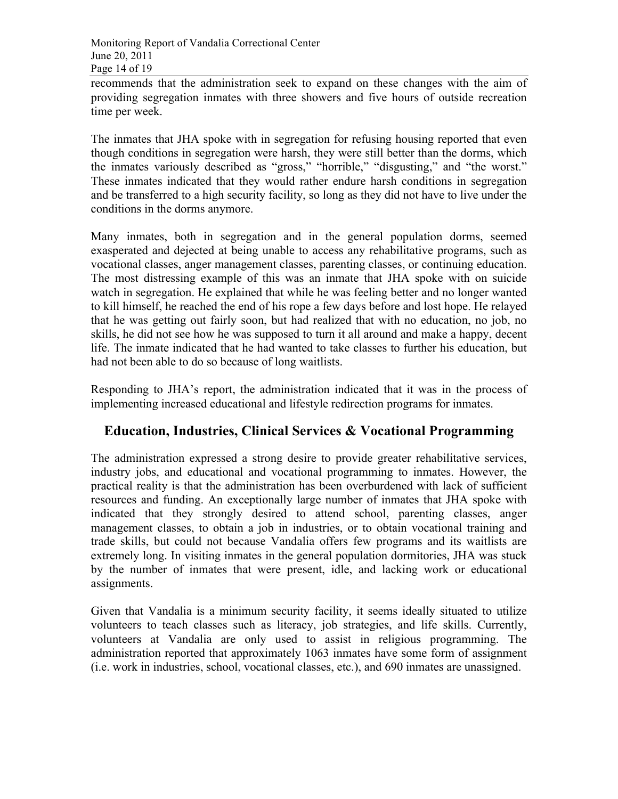recommends that the administration seek to expand on these changes with the aim of providing segregation inmates with three showers and five hours of outside recreation time per week.

The inmates that JHA spoke with in segregation for refusing housing reported that even though conditions in segregation were harsh, they were still better than the dorms, which the inmates variously described as "gross," "horrible," "disgusting," and "the worst." These inmates indicated that they would rather endure harsh conditions in segregation and be transferred to a high security facility, so long as they did not have to live under the conditions in the dorms anymore.

Many inmates, both in segregation and in the general population dorms, seemed exasperated and dejected at being unable to access any rehabilitative programs, such as vocational classes, anger management classes, parenting classes, or continuing education. The most distressing example of this was an inmate that JHA spoke with on suicide watch in segregation. He explained that while he was feeling better and no longer wanted to kill himself, he reached the end of his rope a few days before and lost hope. He relayed that he was getting out fairly soon, but had realized that with no education, no job, no skills, he did not see how he was supposed to turn it all around and make a happy, decent life. The inmate indicated that he had wanted to take classes to further his education, but had not been able to do so because of long waitlists.

Responding to JHA's report, the administration indicated that it was in the process of implementing increased educational and lifestyle redirection programs for inmates.

### **Education, Industries, Clinical Services & Vocational Programming**

The administration expressed a strong desire to provide greater rehabilitative services, industry jobs, and educational and vocational programming to inmates. However, the practical reality is that the administration has been overburdened with lack of sufficient resources and funding. An exceptionally large number of inmates that JHA spoke with indicated that they strongly desired to attend school, parenting classes, anger management classes, to obtain a job in industries, or to obtain vocational training and trade skills, but could not because Vandalia offers few programs and its waitlists are extremely long. In visiting inmates in the general population dormitories, JHA was stuck by the number of inmates that were present, idle, and lacking work or educational assignments.

Given that Vandalia is a minimum security facility, it seems ideally situated to utilize volunteers to teach classes such as literacy, job strategies, and life skills. Currently, volunteers at Vandalia are only used to assist in religious programming. The administration reported that approximately 1063 inmates have some form of assignment (i.e. work in industries, school, vocational classes, etc.), and 690 inmates are unassigned.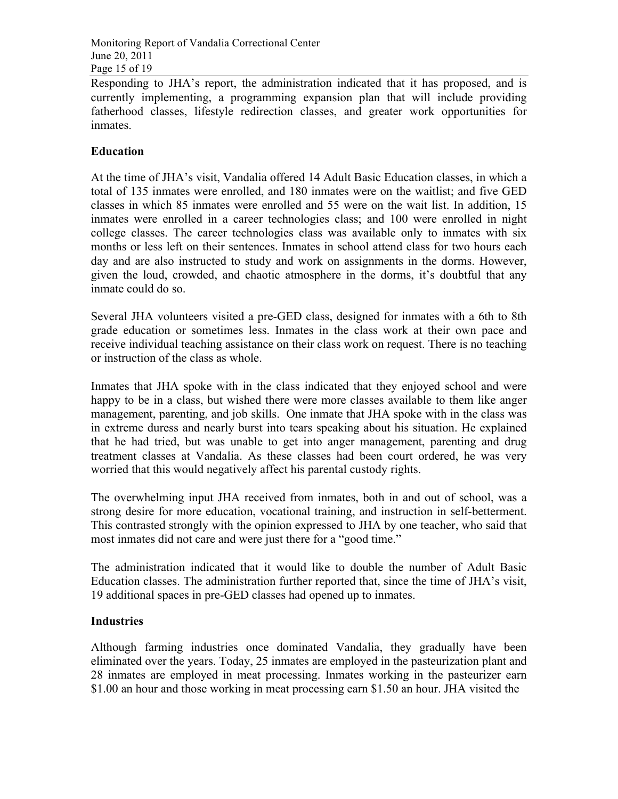Responding to JHA's report, the administration indicated that it has proposed, and is currently implementing, a programming expansion plan that will include providing fatherhood classes, lifestyle redirection classes, and greater work opportunities for inmates.

#### **Education**

At the time of JHA's visit, Vandalia offered 14 Adult Basic Education classes, in which a total of 135 inmates were enrolled, and 180 inmates were on the waitlist; and five GED classes in which 85 inmates were enrolled and 55 were on the wait list. In addition, 15 inmates were enrolled in a career technologies class; and 100 were enrolled in night college classes. The career technologies class was available only to inmates with six months or less left on their sentences. Inmates in school attend class for two hours each day and are also instructed to study and work on assignments in the dorms. However, given the loud, crowded, and chaotic atmosphere in the dorms, it's doubtful that any inmate could do so.

Several JHA volunteers visited a pre-GED class, designed for inmates with a 6th to 8th grade education or sometimes less. Inmates in the class work at their own pace and receive individual teaching assistance on their class work on request. There is no teaching or instruction of the class as whole.

Inmates that JHA spoke with in the class indicated that they enjoyed school and were happy to be in a class, but wished there were more classes available to them like anger management, parenting, and job skills. One inmate that JHA spoke with in the class was in extreme duress and nearly burst into tears speaking about his situation. He explained that he had tried, but was unable to get into anger management, parenting and drug treatment classes at Vandalia. As these classes had been court ordered, he was very worried that this would negatively affect his parental custody rights.

The overwhelming input JHA received from inmates, both in and out of school, was a strong desire for more education, vocational training, and instruction in self-betterment. This contrasted strongly with the opinion expressed to JHA by one teacher, who said that most inmates did not care and were just there for a "good time."

The administration indicated that it would like to double the number of Adult Basic Education classes. The administration further reported that, since the time of JHA's visit, 19 additional spaces in pre-GED classes had opened up to inmates.

#### **Industries**

Although farming industries once dominated Vandalia, they gradually have been eliminated over the years. Today, 25 inmates are employed in the pasteurization plant and 28 inmates are employed in meat processing. Inmates working in the pasteurizer earn \$1.00 an hour and those working in meat processing earn \$1.50 an hour. JHA visited the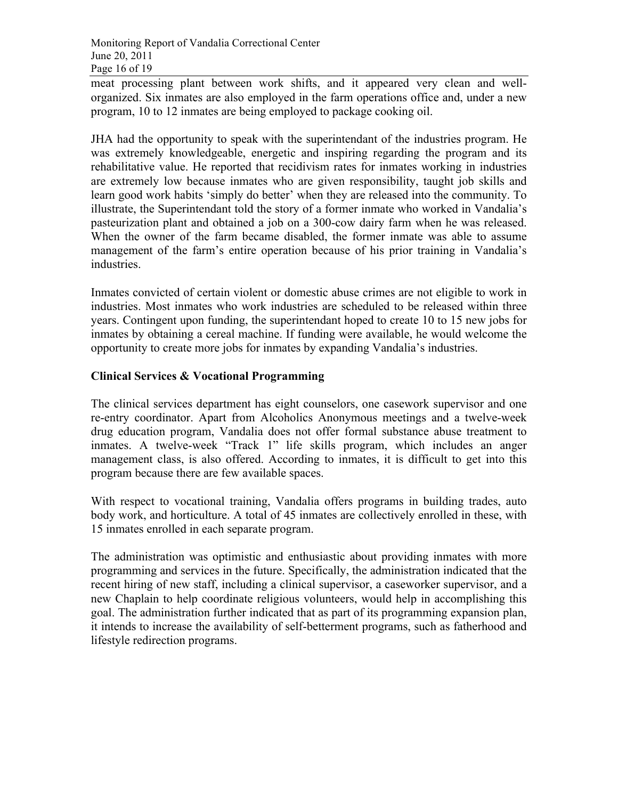meat processing plant between work shifts, and it appeared very clean and wellorganized. Six inmates are also employed in the farm operations office and, under a new program, 10 to 12 inmates are being employed to package cooking oil.

JHA had the opportunity to speak with the superintendant of the industries program. He was extremely knowledgeable, energetic and inspiring regarding the program and its rehabilitative value. He reported that recidivism rates for inmates working in industries are extremely low because inmates who are given responsibility, taught job skills and learn good work habits 'simply do better' when they are released into the community. To illustrate, the Superintendant told the story of a former inmate who worked in Vandalia's pasteurization plant and obtained a job on a 300-cow dairy farm when he was released. When the owner of the farm became disabled, the former inmate was able to assume management of the farm's entire operation because of his prior training in Vandalia's industries.

Inmates convicted of certain violent or domestic abuse crimes are not eligible to work in industries. Most inmates who work industries are scheduled to be released within three years. Contingent upon funding, the superintendant hoped to create 10 to 15 new jobs for inmates by obtaining a cereal machine. If funding were available, he would welcome the opportunity to create more jobs for inmates by expanding Vandalia's industries.

#### **Clinical Services & Vocational Programming**

The clinical services department has eight counselors, one casework supervisor and one re-entry coordinator. Apart from Alcoholics Anonymous meetings and a twelve-week drug education program, Vandalia does not offer formal substance abuse treatment to inmates. A twelve-week "Track 1" life skills program, which includes an anger management class, is also offered. According to inmates, it is difficult to get into this program because there are few available spaces.

With respect to vocational training, Vandalia offers programs in building trades, auto body work, and horticulture. A total of 45 inmates are collectively enrolled in these, with 15 inmates enrolled in each separate program.

The administration was optimistic and enthusiastic about providing inmates with more programming and services in the future. Specifically, the administration indicated that the recent hiring of new staff, including a clinical supervisor, a caseworker supervisor, and a new Chaplain to help coordinate religious volunteers, would help in accomplishing this goal. The administration further indicated that as part of its programming expansion plan, it intends to increase the availability of self-betterment programs, such as fatherhood and lifestyle redirection programs.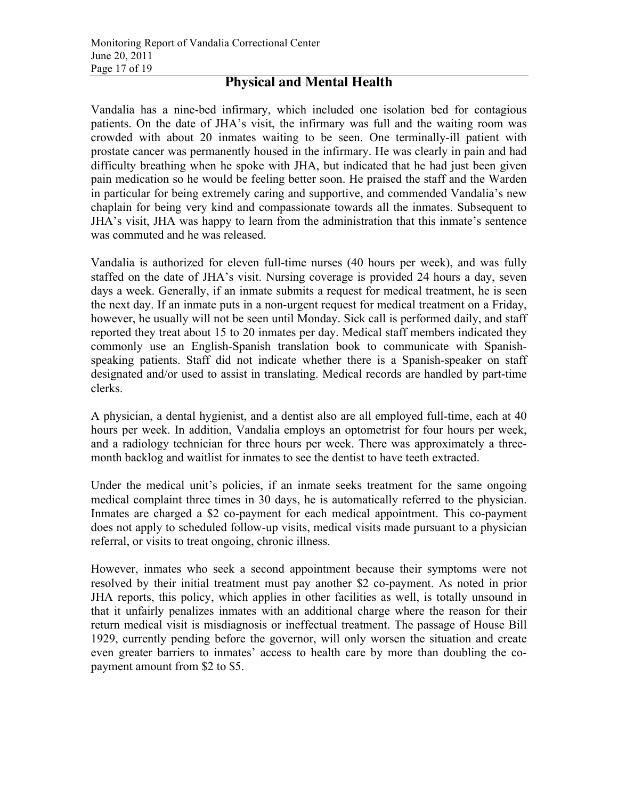## **Physical and Mental Health**

Vandalia has a nine-bed infirmary, which included one isolation bed for contagious patients. On the date of JHA's visit, the infirmary was full and the waiting room was crowded with about 20 inmates waiting to be seen. One terminally-ill patient with prostate cancer was permanently housed in the infirmary. He was clearly in pain and had difficulty breathing when he spoke with JHA, but indicated that he had just been given pain medication so he would be feeling better soon. He praised the staff and the Warden in particular for being extremely caring and supportive, and commended Vandalia's new chaplain for being very kind and compassionate towards all the inmates. Subsequent to JHA's visit, JHA was happy to learn from the administration that this inmate's sentence was commuted and he was released.

Vandalia is authorized for eleven full-time nurses (40 hours per week), and was fully staffed on the date of JHA's visit. Nursing coverage is provided 24 hours a day, seven days a week. Generally, if an inmate submits a request for medical treatment, he is seen the next day. If an inmate puts in a non-urgent request for medical treatment on a Friday, however, he usually will not be seen until Monday. Sick call is performed daily, and staff reported they treat about 15 to 20 inmates per day. Medical staff members indicated they commonly use an English-Spanish translation book to communicate with Spanishspeaking patients. Staff did not indicate whether there is a Spanish-speaker on staff designated and/or used to assist in translating. Medical records are handled by part-time clerks.

A physician, a dental hygienist, and a dentist also are all employed full-time, each at 40 hours per week. In addition, Vandalia employs an optometrist for four hours per week, and a radiology technician for three hours per week. There was approximately a threemonth backlog and waitlist for inmates to see the dentist to have teeth extracted.

Under the medical unit's policies, if an inmate seeks treatment for the same ongoing medical complaint three times in 30 days, he is automatically referred to the physician. Inmates are charged a \$2 co-payment for each medical appointment. This co-payment does not apply to scheduled follow-up visits, medical visits made pursuant to a physician referral, or visits to treat ongoing, chronic illness.

However, inmates who seek a second appointment because their symptoms were not resolved by their initial treatment must pay another \$2 co-payment. As noted in prior JHA reports, this policy, which applies in other facilities as well, is totally unsound in that it unfairly penalizes inmates with an additional charge where the reason for their return medical visit is misdiagnosis or ineffectual treatment. The passage of House Bill 1929, currently pending before the governor, will only worsen the situation and create even greater barriers to inmates' access to health care by more than doubling the copayment amount from \$2 to \$5.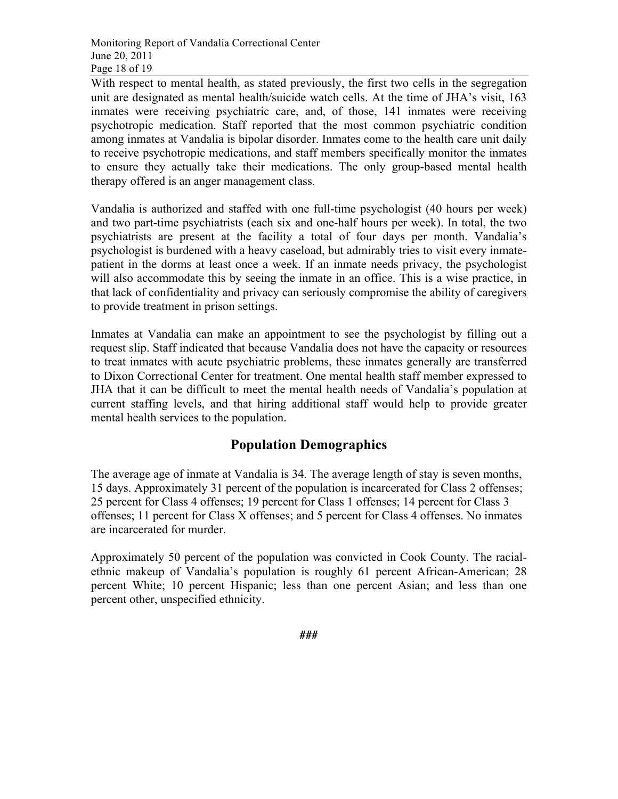With respect to mental health, as stated previously, the first two cells in the segregation unit are designated as mental health/suicide watch cells. At the time of JHA's visit, 163 inmates were receiving psychiatric care, and, of those, 141 inmates were receiving psychotropic medication. Staff reported that the most common psychiatric condition among inmates at Vandalia is bipolar disorder. Inmates come to the health care unit daily to receive psychotropic medications, and staff members specifically monitor the inmates to ensure they actually take their medications. The only group-based mental health therapy offered is an anger management class.

Vandalia is authorized and staffed with one full-time psychologist (40 hours per week) and two part-time psychiatrists (each six and one-half hours per week). In total, the two psychiatrists are present at the facility a total of four days per month. Vandalia's psychologist is burdened with a heavy caseload, but admirably tries to visit every inmatepatient in the dorms at least once a week. If an inmate needs privacy, the psychologist will also accommodate this by seeing the inmate in an office. This is a wise practice, in that lack of confidentiality and privacy can seriously compromise the ability of caregivers to provide treatment in prison settings.

Inmates at Vandalia can make an appointment to see the psychologist by filling out a request slip. Staff indicated that because Vandalia does not have the capacity or resources to treat inmates with acute psychiatric problems, these inmates generally are transferred to Dixon Correctional Center for treatment. One mental health staff member expressed to JHA that it can be difficult to meet the mental health needs of Vandalia's population at current staffing levels, and that hiring additional staff would help to provide greater mental health services to the population.

## **Population Demographics**

The average age of inmate at Vandalia is 34. The average length of stay is seven months, 15 days. Approximately 31 percent of the population is incarcerated for Class 2 offenses; 25 percent for Class 4 offenses; 19 percent for Class 1 offenses; 14 percent for Class 3 offenses; 11 percent for Class X offenses; and 5 percent for Class 4 offenses. No inmates are incarcerated for murder.

Approximately 50 percent of the population was convicted in Cook County. The racialethnic makeup of Vandalia's population is roughly 61 percent African-American; 28 percent White; 10 percent Hispanic; less than one percent Asian; and less than one percent other, unspecified ethnicity.

**###**